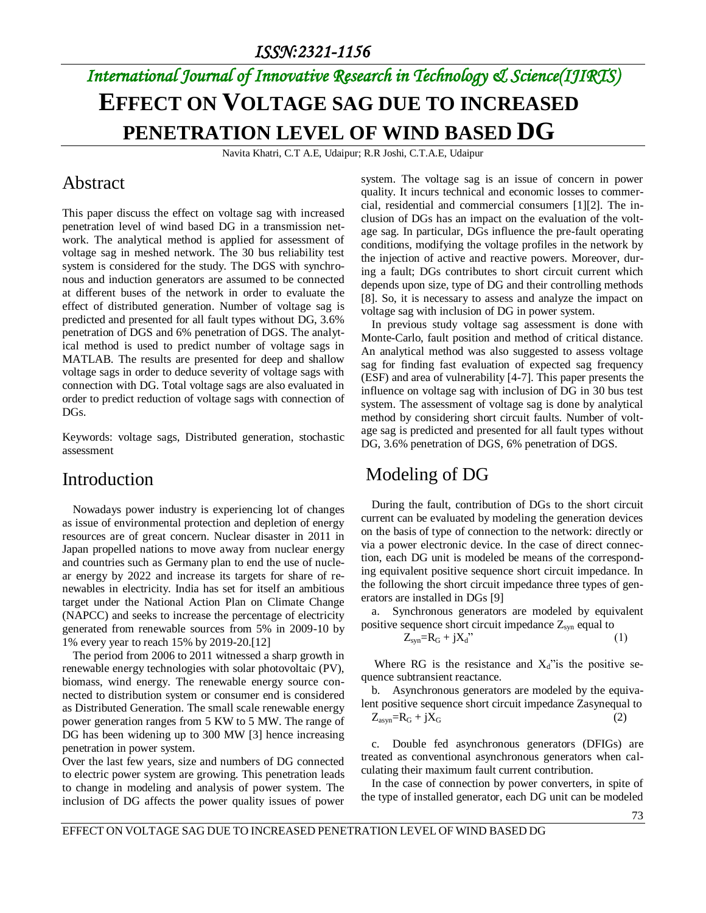# *International Journal of Innovative Research in Technology & Science(IJIRTS)* **EFFECT ON VOLTAGE SAG DUE TO INCREASED PENETRATION LEVEL OF WIND BASED DG**

Navita Khatri, C.T A.E, Udaipur; R.R Joshi, C.T.A.E, Udaipur

### Abstract

This paper discuss the effect on voltage sag with increased penetration level of wind based DG in a transmission network. The analytical method is applied for assessment of voltage sag in meshed network. The 30 bus reliability test system is considered for the study. The DGS with synchronous and induction generators are assumed to be connected at different buses of the network in order to evaluate the effect of distributed generation. Number of voltage sag is predicted and presented for all fault types without DG, 3.6% penetration of DGS and 6% penetration of DGS. The analytical method is used to predict number of voltage sags in MATLAB. The results are presented for deep and shallow voltage sags in order to deduce severity of voltage sags with connection with DG. Total voltage sags are also evaluated in order to predict reduction of voltage sags with connection of DGs.

Keywords: voltage sags, Distributed generation, stochastic assessment

#### Introduction

Nowadays power industry is experiencing lot of changes as issue of environmental protection and depletion of energy resources are of great concern. Nuclear disaster in 2011 in Japan propelled nations to move away from nuclear energy and countries such as Germany plan to end the use of nuclear energy by 2022 and increase its targets for share of renewables in electricity. India has set for itself an ambitious target under the National Action Plan on Climate Change (NAPCC) and seeks to increase the percentage of electricity generated from renewable sources from 5% in 2009-10 by 1% every year to reach 15% by 2019-20.[12]

The period from 2006 to 2011 witnessed a sharp growth in renewable energy technologies with solar photovoltaic (PV), biomass, wind energy. The renewable energy source connected to distribution system or consumer end is considered as Distributed Generation. The small scale renewable energy power generation ranges from 5 KW to 5 MW. The range of DG has been widening up to 300 MW [3] hence increasing penetration in power system.

Over the last few years, size and numbers of DG connected to electric power system are growing. This penetration leads to change in modeling and analysis of power system. The inclusion of DG affects the power quality issues of power

system. The voltage sag is an issue of concern in power quality. It incurs technical and economic losses to commercial, residential and commercial consumers [1][2]. The inclusion of DGs has an impact on the evaluation of the voltage sag. In particular, DGs influence the pre-fault operating conditions, modifying the voltage profiles in the network by the injection of active and reactive powers. Moreover, during a fault; DGs contributes to short circuit current which depends upon size, type of DG and their controlling methods [8]. So, it is necessary to assess and analyze the impact on voltage sag with inclusion of DG in power system.

In previous study voltage sag assessment is done with Monte-Carlo, fault position and method of critical distance. An analytical method was also suggested to assess voltage sag for finding fast evaluation of expected sag frequency (ESF) and area of vulnerability [4-7]. This paper presents the influence on voltage sag with inclusion of DG in 30 bus test system. The assessment of voltage sag is done by analytical method by considering short circuit faults. Number of voltage sag is predicted and presented for all fault types without DG, 3.6% penetration of DGS, 6% penetration of DGS.

## Modeling of DG

During the fault, contribution of DGs to the short circuit current can be evaluated by modeling the generation devices on the basis of type of connection to the network: directly or via a power electronic device. In the case of direct connection, each DG unit is modeled be means of the corresponding equivalent positive sequence short circuit impedance. In the following the short circuit impedance three types of generators are installed in DGs [9]

a. Synchronous generators are modeled by equivalent positive sequence short circuit impedance  $Z_{syn}$  equal to

$$
Z_{syn} = R_G + jX_d
$$
\n<sup>(1)</sup>

Where RG is the resistance and  $X_d$ " is the positive sequence subtransient reactance.

b. Asynchronous generators are modeled by the equivalent positive sequence short circuit impedance Zasynequal to  $Z_{asyn} = R_G + jX_G$  (2)

c. Double fed asynchronous generators (DFIGs) are treated as conventional asynchronous generators when calculating their maximum fault current contribution.

In the case of connection by power converters, in spite of the type of installed generator, each DG unit can be modeled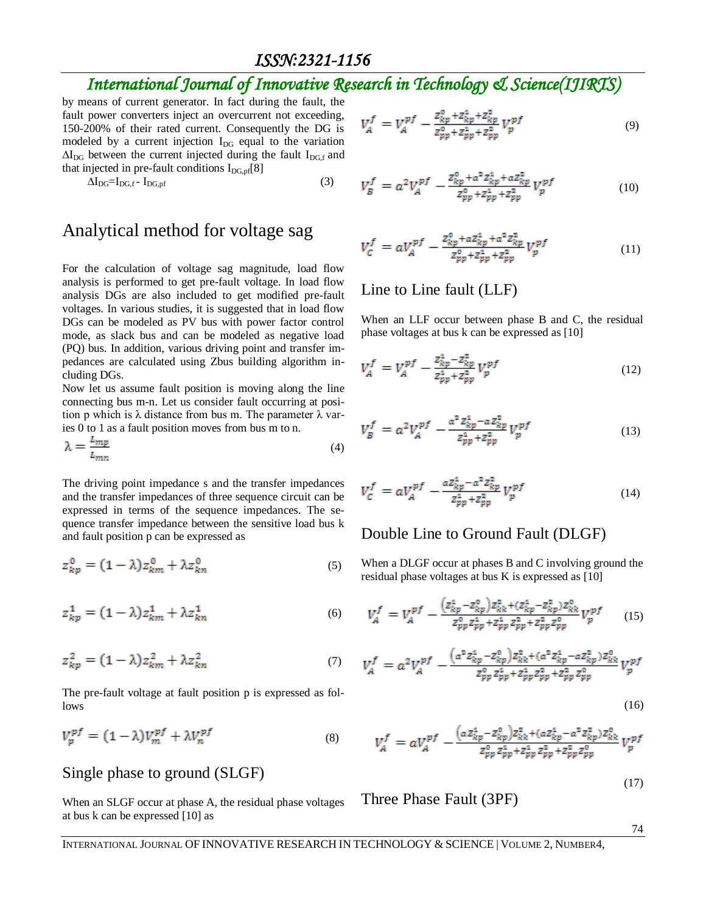## *International Journal of Innovative Research in Technology & Science(IJIRTS)*

by means of current generator. In fact during the fault, the fault power converters inject an overcurrent not exceeding, 150-200% of their rated current. Consequently the DG is modeled by a current injection  $I_{DG}$  equal to the variation  $\Delta I_{\text{DG}}$  between the current injected during the fault I<sub>DG,f</sub> and that injected in pre-fault conditions  $I_{DG,pf}[8]$ 

$$
\Delta I_{DG} = I_{DG,f} - I_{DG,pf} \tag{3}
$$

#### Analytical method for voltage sag

For the calculation of voltage sag magnitude, load flow analysis is performed to get pre-fault voltage. In load flow analysis DGs are also included to get modified pre-fault voltages. In various studies, it is suggested that in load flow DGs can be modeled as PV bus with power factor control mode, as slack bus and can be modeled as negative load (PQ) bus. In addition, various driving point and transfer impedances are calculated using Zbus building algorithm including DGs.

Now let us assume fault position is moving along the line connecting bus m-n. Let us consider fault occurring at position p which is  $\lambda$  distance from bus m. The parameter  $\lambda$  varies 0 to 1 as a fault position moves from bus m to n.

$$
\lambda = \frac{L_{mp}}{L_{mn}}\tag{4}
$$

The driving point impedance s and the transfer impedances and the transfer impedances of three sequence circuit can be expressed in terms of the sequence impedances. The sequence transfer impedance between the sensitive load bus k and fault position p can be expressed as

$$
z_{kp}^0 = (1 - \lambda)z_{km}^0 + \lambda z_{kn}^0 \tag{5}
$$

$$
z_{kp}^1 = (1 - \lambda)z_{km}^1 + \lambda z_{kn}^1 \tag{6}
$$

$$
z_{kp}^2 = (1 - \lambda)z_{km}^2 + \lambda z_{kn}^2 \tag{7}
$$

The pre-fault voltage at fault position p is expressed as follows

$$
V_p^{pf} = (1 - \lambda)V_m^{pf} + \lambda V_n^{pf} \tag{8}
$$

#### Single phase to ground (SLGF)

When an SLGF occur at phase A, the residual phase voltages at bus k can be expressed [10] as

$$
V_A^f = V_A^{pf} - \frac{z_{kp}^0 + z_{kp}^1 + z_{kp}^2}{z_{pp}^0 + z_{pp}^1 + z_{pp}^2} V_p^{pf}
$$
(9)

$$
V_B^f = a^2 V_A^{pf} - \frac{z_{kp}^0 + a^2 z_{kp}^1 + a z_{kp}^2}{z_{pp}^0 + z_{pp}^4 + z_{pp}^2} V_p^{pf}
$$
(10)

$$
V_C^f = aV_A^{pf} - \frac{z_{kp}^0 + az_{kp}^1 + a^2 z_{kp}^2}{z_{pp}^0 + z_{pp}^1 + z_{pp}^2} V_p^{pf}
$$
(11)

#### Line to Line fault (LLF)

When an LLF occur between phase B and C, the residual phase voltages at bus k can be expressed as [10]

$$
V_A^f = V_A^{pf} - \frac{z_{kp}^4 - z_{kp}^2}{z_{pp}^4 + z_{pp}^2} V_p^{pf}
$$
 (12)

$$
V_B^f = a^2 V_A^{pf} - \frac{a^2 Z_{kp}^4 - a Z_{kp}^2}{Z_{pp}^4 + Z_{pp}^2} V_p^{pf}
$$
 (13)

$$
V_C^f = aV_A^{pf} - \frac{az_{kp}^1 - a^2 z_{kp}^2}{z_{pp}^1 + z_{pp}^2} V_p^{pf}
$$
 (14)

#### Double Line to Ground Fault (DLGF)

When a DLGF occur at phases B and C involving ground the residual phase voltages at bus K is expressed as [10]

$$
V_A^f = V_A^{pf} - \frac{(z_{kp}^1 - z_{kp}^0)z_{kk}^2 + (z_{kp}^4 - z_{kp}^2)z_{kk}^0}{z_{pp}^0 z_{pp}^1 + z_{pp}^1 z_{pp}^2 + z_{pp}^2 z_{pp}^0} V_p^{pf}
$$
 (15)

$$
V_A^f = a^2 V_A^{pf} - \frac{(a^2 Z_{kp}^1 - Z_{kp}^0) Z_{kk}^2 + (a^2 Z_{kp}^1 - a Z_{kp}^2) Z_{kk}^0}{Z_{pp}^0 Z_{pp}^2 + Z_{pp}^2 Z_{pp}^2 + Z_{pp}^2 Z_{pp}^0}
$$

$$
V_A^f = aV_A^{pf} - \frac{(a z_{kp}^4 - z_{kp}^0) z_{kk}^2 + (a z_{kp}^4 - a^2 z_{kp}^2) z_{kk}^0}{z_{pp}^0 z_{pp}^2 + z_{pp}^4 z_{pp}^2 + z_{pp}^2 z_{pp}^0} V_p^{pf}
$$

Three Phase Fault (3PF)

(17)

(16)

74

INTERNATIONAL JOURNAL OF INNOVATIVE RESEARCH IN TECHNOLOGY & SCIENCE | VOLUME 2, NUMBER4,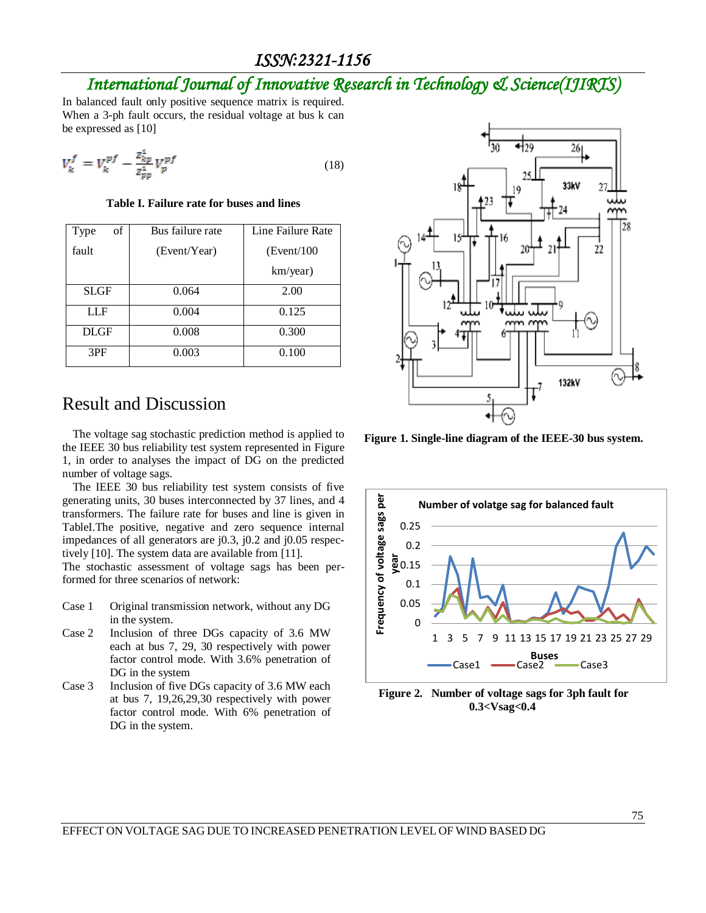## *International Journal of Innovative Research in Technology & Science(IJIRTS)*

In balanced fault only positive sequence matrix is required. When a 3-ph fault occurs, the residual voltage at bus k can be expressed as [10]

$$
V_k^f = V_k^{pf} - \frac{z_{kp}^4}{z_{yp}^4} V_p^{pf} \tag{18}
$$

**Table I. Failure rate for buses and lines**

| οf<br>Type  | Bus failure rate | Line Failure Rate |
|-------------|------------------|-------------------|
| fault       | (Event/Year)     | (Event/100)       |
|             |                  | km/year)          |
| SLGF        | 0.064            | 2.00              |
| LLF         | 0.004            | 0.125             |
| <b>DLGF</b> | 0.008            | 0.300             |
| 3PF         | 0.003            | 0.100             |

#### Result and Discussion

The voltage sag stochastic prediction method is applied to the IEEE 30 bus reliability test system represented in Figure 1, in order to analyses the impact of DG on the predicted number of voltage sags.

The IEEE 30 bus reliability test system consists of five generating units, 30 buses interconnected by 37 lines, and 4 transformers. The failure rate for buses and line is given in TableI.The positive, negative and zero sequence internal impedances of all generators are j0.3, j0.2 and j0.05 respectively [10]. The system data are available from [11].

The stochastic assessment of voltage sags has been performed for three scenarios of network:

- Case 1 Original transmission network, without any DG in the system.
- Case 2 Inclusion of three DGs capacity of 3.6 MW each at bus 7, 29, 30 respectively with power factor control mode. With 3.6% penetration of DG in the system
- Case 3 Inclusion of five DGs capacity of 3.6 MW each at bus 7, 19,26,29,30 respectively with power factor control mode. With 6% penetration of DG in the system.



**Figure 1. Single-line diagram of the IEEE-30 bus system.**



**Figure 2. Number of voltage sags for 3ph fault for 0.3<Vsag<0.4**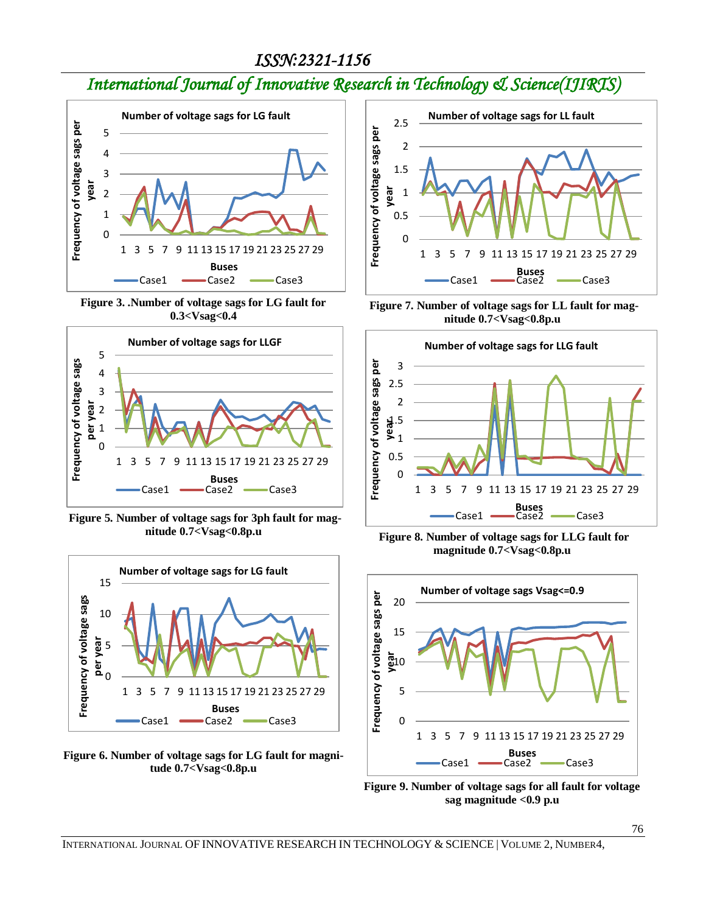# *International Journal of Innovative Research in Technology & Science(IJIRTS)*



**Figure 3. .Number of voltage sags for LG fault for 0.3<Vsag<0.4**



**Figure 5. Number of voltage sags for 3ph fault for magnitude 0.7<Vsag<0.8p.u**



**Figure 6. Number of voltage sags for LG fault for magnitude 0.7<Vsag<0.8p.u**



**Figure 7. Number of voltage sags for LL fault for magnitude 0.7<Vsag<0.8p.u**



**Figure 8. Number of voltage sags for LLG fault for magnitude 0.7<Vsag<0.8p.u**



**Figure 9. Number of voltage sags for all fault for voltage sag magnitude <0.9 p.u**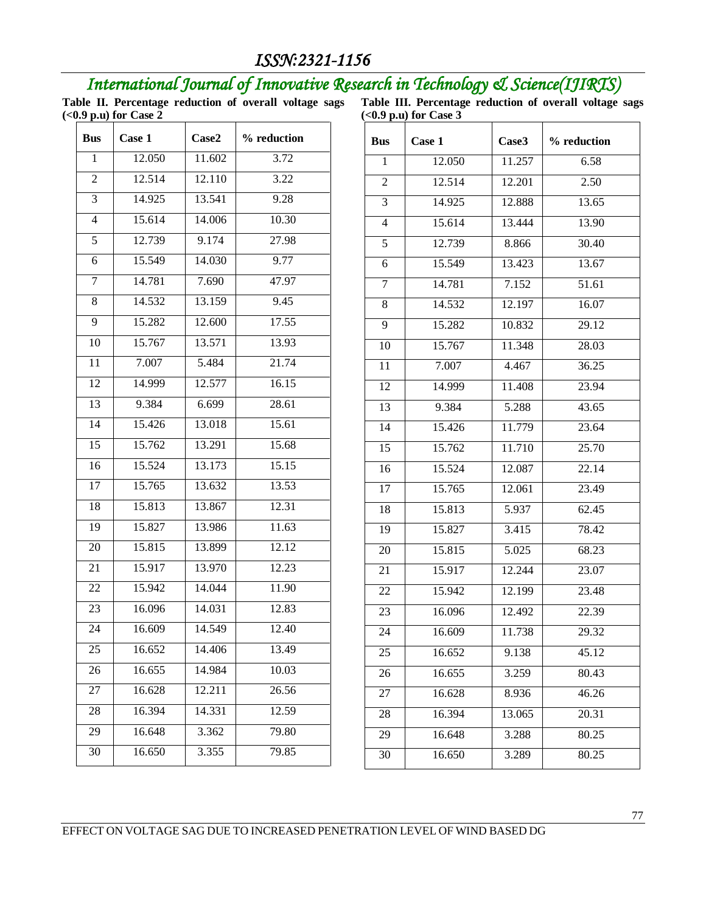# *International Journal of Innovative Research in Technology & Science(IJIRTS)*

**Table II. Percentage reduction of overall voltage sags (<0.9 p.u) for Case 2**

**Table III. Percentage reduction of overall voltage sags (<0.9 p.u) for Case 3**

| 12.050<br>11.602<br>3.72<br>1<br>12.514<br>12.110<br>3.22<br>$\overline{2}$<br>14.925<br>13.541<br>3<br>9.28<br>$\overline{4}$<br>15.614<br>14.006<br>10.30<br>12.739<br>5<br>9.174<br>27.98<br>15.549<br>$\overline{6}$<br>14.030<br>9.77<br>14.781<br>7.690<br>47.97<br>7<br>13.159<br>14.532<br>9.45<br>8<br>17.55<br>15.282<br>12.600<br>9<br>15.767<br>10<br>13.571<br>13.93<br>21.74<br>$\overline{11}$<br>7.007<br>5.484<br>$\overline{12}$<br>12.577<br>16.15<br>14.999<br>$\overline{13}$<br>28.61<br>9.384<br>6.699<br>14<br>15.426<br>15.61<br>13.018<br>$\overline{15}$<br>15.762<br>15.68<br>13.291<br>15.15<br>16<br>15.524<br>13.173<br>17<br>15.765<br>13.53<br>13.632<br>$\overline{18}$<br>15.813<br>13.867<br>12.31<br>19<br>11.63<br>15.827<br>13.986<br>20<br>15.815<br>13.899<br>$12.\overline{12}$<br>21<br>12.23<br>15.917<br>13.970<br>22<br>15.942<br>14.044<br>11.90<br>12.83<br>23<br>16.096<br>14.031<br>24<br>14.549<br>12.40<br>16.609<br>13.49<br>25<br>14.406<br>16.652<br>16.655<br>10.03<br>14.984<br>26<br>26.56<br>16.628<br>12.211<br>27<br>16.394<br>14.331<br>12.59<br>28<br>16.648<br>79.80<br>29<br>3.362<br>16.650<br>30<br>3.355<br>79.85 | <b>Bus</b> | Case 1 | Case2 | % reduction |
|---------------------------------------------------------------------------------------------------------------------------------------------------------------------------------------------------------------------------------------------------------------------------------------------------------------------------------------------------------------------------------------------------------------------------------------------------------------------------------------------------------------------------------------------------------------------------------------------------------------------------------------------------------------------------------------------------------------------------------------------------------------------------------------------------------------------------------------------------------------------------------------------------------------------------------------------------------------------------------------------------------------------------------------------------------------------------------------------------------------------------------------------------------------------------------------|------------|--------|-------|-------------|
|                                                                                                                                                                                                                                                                                                                                                                                                                                                                                                                                                                                                                                                                                                                                                                                                                                                                                                                                                                                                                                                                                                                                                                                       |            |        |       |             |
|                                                                                                                                                                                                                                                                                                                                                                                                                                                                                                                                                                                                                                                                                                                                                                                                                                                                                                                                                                                                                                                                                                                                                                                       |            |        |       |             |
|                                                                                                                                                                                                                                                                                                                                                                                                                                                                                                                                                                                                                                                                                                                                                                                                                                                                                                                                                                                                                                                                                                                                                                                       |            |        |       |             |
|                                                                                                                                                                                                                                                                                                                                                                                                                                                                                                                                                                                                                                                                                                                                                                                                                                                                                                                                                                                                                                                                                                                                                                                       |            |        |       |             |
|                                                                                                                                                                                                                                                                                                                                                                                                                                                                                                                                                                                                                                                                                                                                                                                                                                                                                                                                                                                                                                                                                                                                                                                       |            |        |       |             |
|                                                                                                                                                                                                                                                                                                                                                                                                                                                                                                                                                                                                                                                                                                                                                                                                                                                                                                                                                                                                                                                                                                                                                                                       |            |        |       |             |
|                                                                                                                                                                                                                                                                                                                                                                                                                                                                                                                                                                                                                                                                                                                                                                                                                                                                                                                                                                                                                                                                                                                                                                                       |            |        |       |             |
|                                                                                                                                                                                                                                                                                                                                                                                                                                                                                                                                                                                                                                                                                                                                                                                                                                                                                                                                                                                                                                                                                                                                                                                       |            |        |       |             |
|                                                                                                                                                                                                                                                                                                                                                                                                                                                                                                                                                                                                                                                                                                                                                                                                                                                                                                                                                                                                                                                                                                                                                                                       |            |        |       |             |
|                                                                                                                                                                                                                                                                                                                                                                                                                                                                                                                                                                                                                                                                                                                                                                                                                                                                                                                                                                                                                                                                                                                                                                                       |            |        |       |             |
|                                                                                                                                                                                                                                                                                                                                                                                                                                                                                                                                                                                                                                                                                                                                                                                                                                                                                                                                                                                                                                                                                                                                                                                       |            |        |       |             |
|                                                                                                                                                                                                                                                                                                                                                                                                                                                                                                                                                                                                                                                                                                                                                                                                                                                                                                                                                                                                                                                                                                                                                                                       |            |        |       |             |
|                                                                                                                                                                                                                                                                                                                                                                                                                                                                                                                                                                                                                                                                                                                                                                                                                                                                                                                                                                                                                                                                                                                                                                                       |            |        |       |             |
|                                                                                                                                                                                                                                                                                                                                                                                                                                                                                                                                                                                                                                                                                                                                                                                                                                                                                                                                                                                                                                                                                                                                                                                       |            |        |       |             |
|                                                                                                                                                                                                                                                                                                                                                                                                                                                                                                                                                                                                                                                                                                                                                                                                                                                                                                                                                                                                                                                                                                                                                                                       |            |        |       |             |
|                                                                                                                                                                                                                                                                                                                                                                                                                                                                                                                                                                                                                                                                                                                                                                                                                                                                                                                                                                                                                                                                                                                                                                                       |            |        |       |             |
|                                                                                                                                                                                                                                                                                                                                                                                                                                                                                                                                                                                                                                                                                                                                                                                                                                                                                                                                                                                                                                                                                                                                                                                       |            |        |       |             |
|                                                                                                                                                                                                                                                                                                                                                                                                                                                                                                                                                                                                                                                                                                                                                                                                                                                                                                                                                                                                                                                                                                                                                                                       |            |        |       |             |
|                                                                                                                                                                                                                                                                                                                                                                                                                                                                                                                                                                                                                                                                                                                                                                                                                                                                                                                                                                                                                                                                                                                                                                                       |            |        |       |             |
|                                                                                                                                                                                                                                                                                                                                                                                                                                                                                                                                                                                                                                                                                                                                                                                                                                                                                                                                                                                                                                                                                                                                                                                       |            |        |       |             |
|                                                                                                                                                                                                                                                                                                                                                                                                                                                                                                                                                                                                                                                                                                                                                                                                                                                                                                                                                                                                                                                                                                                                                                                       |            |        |       |             |
|                                                                                                                                                                                                                                                                                                                                                                                                                                                                                                                                                                                                                                                                                                                                                                                                                                                                                                                                                                                                                                                                                                                                                                                       |            |        |       |             |
|                                                                                                                                                                                                                                                                                                                                                                                                                                                                                                                                                                                                                                                                                                                                                                                                                                                                                                                                                                                                                                                                                                                                                                                       |            |        |       |             |
|                                                                                                                                                                                                                                                                                                                                                                                                                                                                                                                                                                                                                                                                                                                                                                                                                                                                                                                                                                                                                                                                                                                                                                                       |            |        |       |             |
|                                                                                                                                                                                                                                                                                                                                                                                                                                                                                                                                                                                                                                                                                                                                                                                                                                                                                                                                                                                                                                                                                                                                                                                       |            |        |       |             |
|                                                                                                                                                                                                                                                                                                                                                                                                                                                                                                                                                                                                                                                                                                                                                                                                                                                                                                                                                                                                                                                                                                                                                                                       |            |        |       |             |
|                                                                                                                                                                                                                                                                                                                                                                                                                                                                                                                                                                                                                                                                                                                                                                                                                                                                                                                                                                                                                                                                                                                                                                                       |            |        |       |             |
|                                                                                                                                                                                                                                                                                                                                                                                                                                                                                                                                                                                                                                                                                                                                                                                                                                                                                                                                                                                                                                                                                                                                                                                       |            |        |       |             |
|                                                                                                                                                                                                                                                                                                                                                                                                                                                                                                                                                                                                                                                                                                                                                                                                                                                                                                                                                                                                                                                                                                                                                                                       |            |        |       |             |
|                                                                                                                                                                                                                                                                                                                                                                                                                                                                                                                                                                                                                                                                                                                                                                                                                                                                                                                                                                                                                                                                                                                                                                                       |            |        |       |             |

| Case 1 | Case3  | % reduction |
|--------|--------|-------------|
| 12.050 | 11.257 | 6.58        |
| 12.514 | 12.201 | 2.50        |
| 14.925 | 12.888 | 13.65       |
| 15.614 | 13.444 | 13.90       |
| 12.739 | 8.866  | 30.40       |
| 15.549 | 13.423 | 13.67       |
| 14.781 | 7.152  | 51.61       |
| 14.532 | 12.197 | 16.07       |
| 15.282 | 10.832 | 29.12       |
| 15.767 | 11.348 | 28.03       |
| 7.007  | 4.467  | 36.25       |
| 14.999 | 11.408 | 23.94       |
| 9.384  | 5.288  | 43.65       |
| 15.426 | 11.779 | 23.64       |
| 15.762 | 11.710 | 25.70       |
| 15.524 | 12.087 | 22.14       |
| 15.765 | 12.061 | 23.49       |
| 15.813 | 5.937  | 62.45       |
| 15.827 | 3.415  | 78.42       |
| 15.815 | 5.025  | 68.23       |
| 15.917 | 12.244 | 23.07       |
| 15.942 | 12.199 | 23.48       |
| 16.096 | 12.492 | 22.39       |
| 16.609 | 11.738 | 29.32       |
| 16.652 | 9.138  | 45.12       |
| 16.655 | 3.259  | 80.43       |
| 16.628 | 8.936  | 46.26       |
| 16.394 | 13.065 | 20.31       |
| 16.648 | 3.288  | 80.25       |
| 16.650 | 3.289  | 80.25       |
|        |        |             |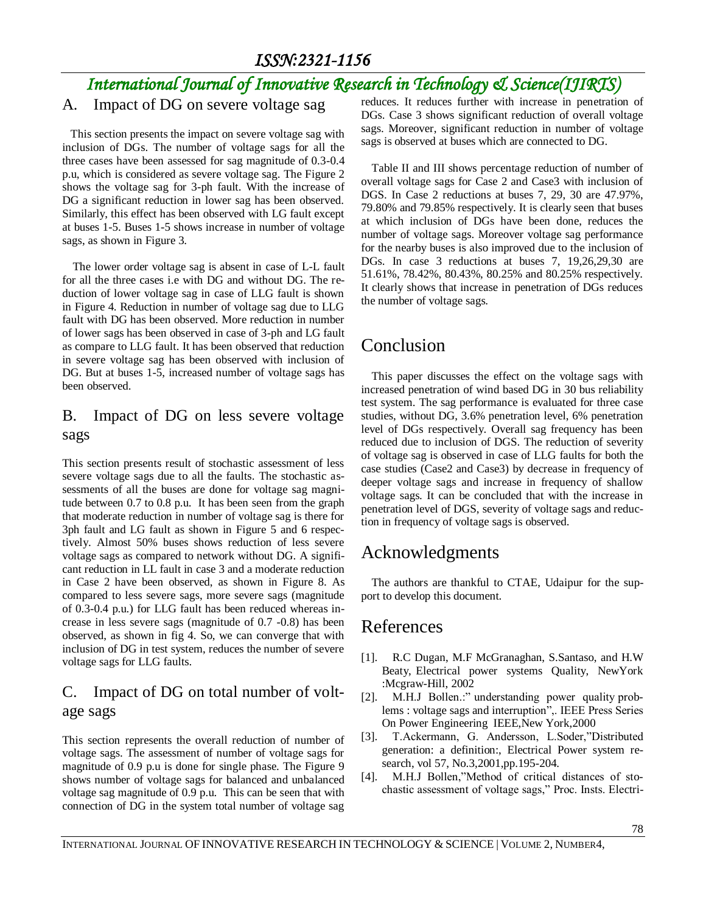# *International Journal of Innovative Research in Technology & Science(IJIRTS)*

#### A. Impact of DG on severe voltage sag

 This section presents the impact on severe voltage sag with inclusion of DGs. The number of voltage sags for all the three cases have been assessed for sag magnitude of 0.3-0.4 p.u, which is considered as severe voltage sag. The Figure 2 shows the voltage sag for 3-ph fault. With the increase of DG a significant reduction in lower sag has been observed. Similarly, this effect has been observed with LG fault except at buses 1-5. Buses 1-5 shows increase in number of voltage sags, as shown in Figure 3.

The lower order voltage sag is absent in case of L-L fault for all the three cases i.e with DG and without DG. The reduction of lower voltage sag in case of LLG fault is shown in Figure 4. Reduction in number of voltage sag due to LLG fault with DG has been observed. More reduction in number of lower sags has been observed in case of 3-ph and LG fault as compare to LLG fault. It has been observed that reduction in severe voltage sag has been observed with inclusion of DG. But at buses 1-5, increased number of voltage sags has been observed.

#### B. Impact of DG on less severe voltage sags

This section presents result of stochastic assessment of less severe voltage sags due to all the faults. The stochastic assessments of all the buses are done for voltage sag magnitude between 0.7 to 0.8 p.u. It has been seen from the graph that moderate reduction in number of voltage sag is there for 3ph fault and LG fault as shown in Figure 5 and 6 respectively. Almost 50% buses shows reduction of less severe voltage sags as compared to network without DG. A significant reduction in LL fault in case 3 and a moderate reduction in Case 2 have been observed, as shown in Figure 8. As compared to less severe sags, more severe sags (magnitude of 0.3-0.4 p.u.) for LLG fault has been reduced whereas increase in less severe sags (magnitude of 0.7 -0.8) has been observed, as shown in fig 4. So, we can converge that with inclusion of DG in test system, reduces the number of severe voltage sags for LLG faults.

#### C. Impact of DG on total number of voltage sags

This section represents the overall reduction of number of voltage sags. The assessment of number of voltage sags for magnitude of 0.9 p.u is done for single phase. The Figure 9 shows number of voltage sags for balanced and unbalanced voltage sag magnitude of 0.9 p.u. This can be seen that with connection of DG in the system total number of voltage sag

reduces. It reduces further with increase in penetration of DGs. Case 3 shows significant reduction of overall voltage sags. Moreover, significant reduction in number of voltage sags is observed at buses which are connected to DG.

Table II and III shows percentage reduction of number of overall voltage sags for Case 2 and Case3 with inclusion of DGS. In Case 2 reductions at buses 7, 29, 30 are 47.97%, 79.80% and 79.85% respectively. It is clearly seen that buses at which inclusion of DGs have been done, reduces the number of voltage sags. Moreover voltage sag performance for the nearby buses is also improved due to the inclusion of DGs. In case 3 reductions at buses 7, 19,26,29,30 are 51.61%, 78.42%, 80.43%, 80.25% and 80.25% respectively. It clearly shows that increase in penetration of DGs reduces the number of voltage sags.

## Conclusion

This paper discusses the effect on the voltage sags with increased penetration of wind based DG in 30 bus reliability test system. The sag performance is evaluated for three case studies, without DG, 3.6% penetration level, 6% penetration level of DGs respectively. Overall sag frequency has been reduced due to inclusion of DGS. The reduction of severity of voltage sag is observed in case of LLG faults for both the case studies (Case2 and Case3) by decrease in frequency of deeper voltage sags and increase in frequency of shallow voltage sags. It can be concluded that with the increase in penetration level of DGS, severity of voltage sags and reduction in frequency of voltage sags is observed.

## Acknowledgments

The authors are thankful to CTAE, Udaipur for the support to develop this document.

## References

- [1]. R.C Dugan, M.F McGranaghan, S.Santaso, and H.W Beaty, Electrical power systems Quality, NewYork :Mcgraw-Hill, 2002
- [2]. M.H.J Bollen.:" understanding power quality problems : voltage sags and interruption",. IEEE Press Series On Power Engineering IEEE,New York,2000
- [3]. T.Ackermann, G. Andersson, L.Soder,"Distributed generation: a definition:, Electrical Power system research, vol 57, No.3,2001,pp.195-204.
- [4]. M.H.J Bollen,"Method of critical distances of stochastic assessment of voltage sags," Proc. Insts. Electri-